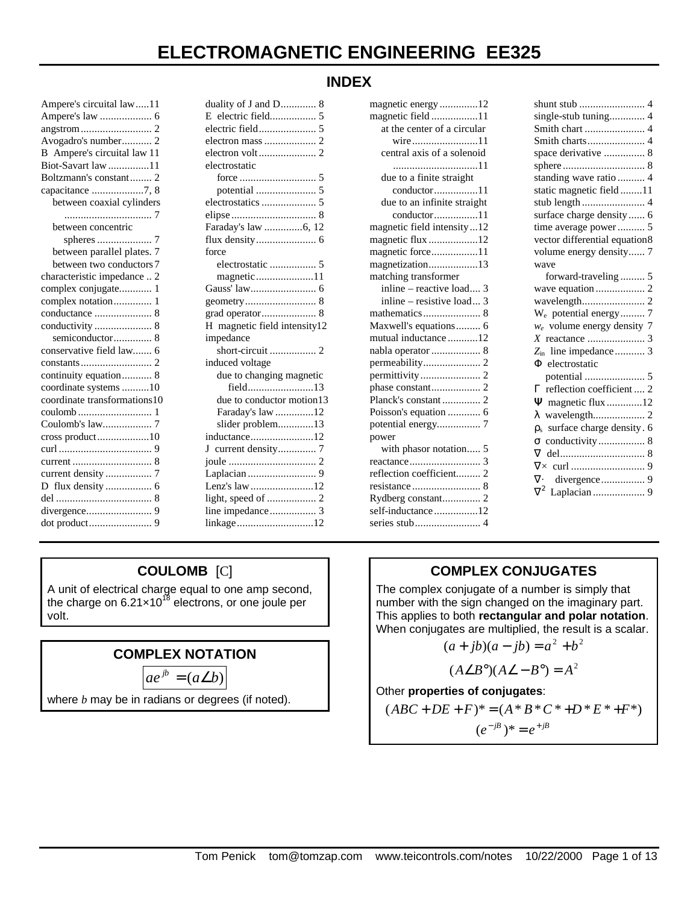#### **INDEX**

| Ampere's circuital law11     |
|------------------------------|
|                              |
|                              |
| Avogadro's number 2          |
| B Ampere's circuital law 11  |
| Biot-Savart law 11           |
| Boltzmann's constant 2       |
| capacitance 7, 8             |
| between coaxial cylinders    |
|                              |
| between concentric           |
| spheres                      |
| between parallel plates. 7   |
| between two conductors 7     |
| characteristic impedance  2  |
| complex conjugate 1          |
| complex notation 1           |
|                              |
|                              |
| semiconductor 8              |
| conservative field law 6     |
|                              |
| continuity equation 8        |
| coordinate systems 10        |
| coordinate transformations10 |
|                              |
| Coulomb's law 7              |
| cross product10              |
|                              |
|                              |
|                              |
|                              |
|                              |
|                              |
|                              |
|                              |

| duality of J and D 8         |
|------------------------------|
| E electric field 5           |
|                              |
|                              |
|                              |
| electrostatic                |
|                              |
|                              |
|                              |
|                              |
| Faraday's law 6, 12          |
|                              |
| force                        |
|                              |
| magnetic11                   |
|                              |
|                              |
|                              |
| H magnetic field intensity12 |
| impedance                    |
|                              |
| induced voltage              |
| due to changing magnetic     |
| field13                      |
| due to conductor motion13    |
| Faraday's law 12             |
| slider problem13             |
| inductance12                 |
|                              |
|                              |
|                              |
| Lenz's law 12                |
|                              |
|                              |
| linkage12                    |

| magnetic energy12                      |
|----------------------------------------|
| magnetic field11                       |
| at the center of a circular            |
| wire11                                 |
| central axis of a solenoid             |
| 11                                     |
| due to a finite straight               |
| $conductor \dots \dots \dots \dots 11$ |
| due to an infinite straight            |
| conductor11                            |
| magnetic field intensity12             |
| magnetic flux 12                       |
| magnetic force11                       |
| magnetization13                        |
| matching transformer                   |
| inline - reactive load 3               |
| inline - resistive load 3              |
|                                        |
| Maxwell's equations 6                  |
| mutual inductance 12                   |
| nabla operator  8                      |
|                                        |
|                                        |
|                                        |
| Planck's constant 2                    |
| Poisson's equation  6                  |
| potential energy 7                     |
| power                                  |
| with phasor notation 5                 |
|                                        |
| reflection coefficient 2               |
|                                        |
| Rydberg constant 2                     |
| self-inductance12                      |
|                                        |

| shunt stub  4                               |
|---------------------------------------------|
| single-stub tuning 4                        |
|                                             |
|                                             |
| space derivative  8                         |
|                                             |
| standing wave ratio  4                      |
| static magnetic field 11                    |
| stub length  4                              |
| surface charge density  6                   |
| time average power 5                        |
| vector differential equation8               |
| volume energy density 7                     |
| wave                                        |
| forward-traveling  5                        |
|                                             |
|                                             |
| W <sub>e</sub> potential energy 7           |
| $w_e$ volume energy density 7               |
|                                             |
| Z <sub>in</sub> line impedance 3            |
| $\Phi$ electrostatic                        |
|                                             |
| reflection coefficient  2<br>Г.             |
| $\mathbf Y$ magnetic flux 12                |
|                                             |
| surface charge density. 6<br>$\rho_{\rm s}$ |
| conductivity 8<br>$\sigma$                  |
| $\nabla$                                    |
|                                             |
|                                             |
|                                             |
|                                             |

# **COULOMB** [C]

A unit of electrical charge equal to one amp second, the charge on 6.21 $\times$ 10<sup>18</sup> electrons, or one joule per volt.

# **COMPLEX NOTATION**

$$
ae^{jb} = (a \angle b)
$$

where *b* may be in radians or degrees (if noted).

# **COMPLEX CONJUGATES**

The complex conjugate of a number is simply that number with the sign changed on the imaginary part. This applies to both **rectangular and polar notation**. When conjugates are multiplied, the result is a scalar.

$$
(a+jb)(a-jb) = a^2 + b^2
$$

$$
(A\angle B^{\circ})(A\angle - B^{\circ}) = A^{2}
$$

Other **properties of conjugates**:

$$
(ABC + DE + F)^* = (A * B * C * + D * E * + F^*)
$$

$$
(e^{-jB})^* = e^{+jB}
$$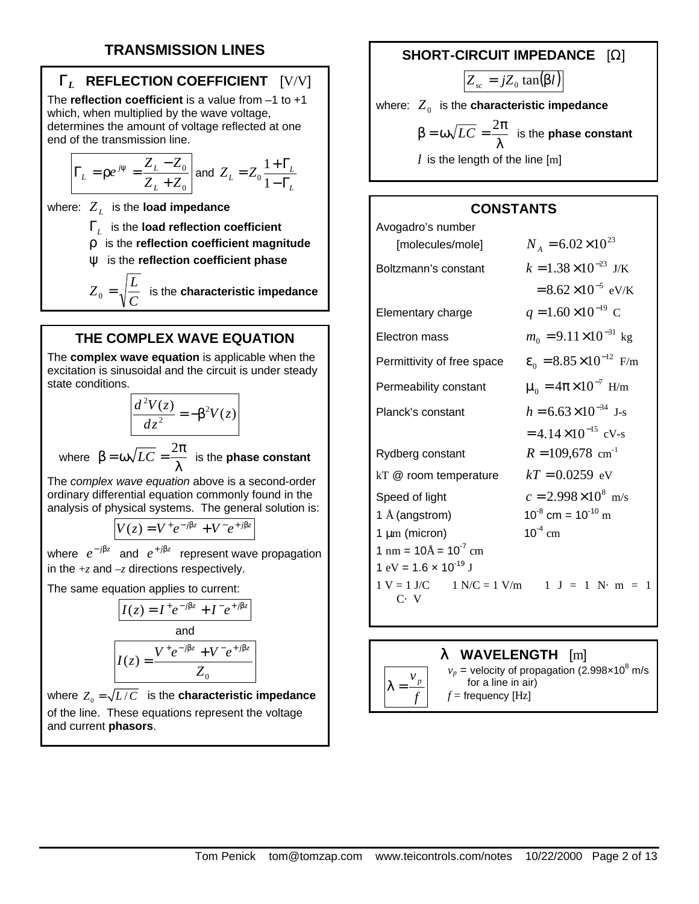# **TRANSMISSION LINES**

## **G***L* **REFLECTION COEFFICIENT** [V/V]

The **reflection coefficient** is a value from –1 to +1 which, when multiplied by the wave voltage, determines the amount of voltage reflected at one end of the transmission line.

$$
\Gamma_L = \rho e^{j\psi} = \frac{Z_L - Z_0}{Z_L + Z_0}
$$
 and  $Z_L = Z_0 \frac{1 + \Gamma_L}{1 - \Gamma_L}$ 

where: *Z<sup>L</sup>* is the **load impedance**

Γ*L* is the **load reflection coefficient**

ρ is the **reflection coefficient magnitude**

ψ is the **reflection coefficient phase**

*C*  $Z_{_0}$  =  $\sqrt{\frac{L}{C}}$  is the **characteristic impedance** 

#### **THE COMPLEX WAVE EQUATION**

The **complex wave equation** is applicable when the excitation is sinusoidal and the circuit is under steady state conditions.

$$
\frac{d^2V(z)}{dz^2} = -\beta^2 V(z)
$$

where  $\beta = \omega \sqrt{LC} = \frac{2\pi}{\omega}$  $\frac{100}{\lambda}$  is the **phase constant** 

The *complex wave equation* above is a second-order ordinary differential equation commonly found in the analysis of physical systems. The general solution is:

$$
V(z) = V^+ e^{-j\beta z} + V^- e^{+j\beta z}
$$

where  $e^{-j\beta z}$  and  $e^{+j\beta z}$  represent wave propagation in the  $+z$  and  $-z$  directions respectively.

The same equation applies to current:

$$
I(z) = I^+ e^{-j\beta z} + I^- e^{+j\beta z}
$$
  
and  

$$
I(z) = \frac{V^+ e^{-j\beta z} + V^- e^{+j\beta z}}{Z_0}
$$

where  $Z_0 = \sqrt{L/C}$  is the **characteristic impedance** of the line. These equations represent the voltage and current **phasors**.

#### **SHORT-CIRCUIT IMPEDANCE** [Ω]

 $Z_{sc} = jZ_0 \tan(\beta l)$ where:  $\boldsymbol{Z}_{_{\boldsymbol{0}}}$  is the **characteristic impedance** λ  $β = ω√LC = \frac{2π}{2π}$  is the **phase constant**  $l$  is the length of the line  $[m]$ 

#### **CONSTANTS**

| Avogadro's number                                                                                                    |                                         |
|----------------------------------------------------------------------------------------------------------------------|-----------------------------------------|
| [molecules/mole]                                                                                                     | $N_A = 6.02 \times 10^{23}$             |
| Boltzmann's constant                                                                                                 | $k = 1.38 \times 10^{-23}$ J/K          |
|                                                                                                                      | $= 8.62 \times 10^{-5}$ eV/K            |
| Elementary charge                                                                                                    | $q = 1.60 \times 10^{-19}$ C            |
| Electron mass                                                                                                        | $m_0 = 9.11 \times 10^{-31}$ kg         |
| Permittivity of free space                                                                                           | $\epsilon_0 = 8.85 \times 10^{-12}$ F/m |
| Permeability constant                                                                                                | $\mu_0 = 4\pi \times 10^{-7}$ H/m       |
| Planck's constant                                                                                                    | $h = 6.63 \times 10^{-34}$ J-s          |
|                                                                                                                      | $= 4.14 \times 10^{-15}$ cV-s           |
| Rydberg constant                                                                                                     | $R = 109,678$ cm <sup>-1</sup>          |
| kT @ room temperature                                                                                                | $kT = 0.0259$ eV                        |
| Speed of light                                                                                                       | $c = 2.998 \times 10^8$ m/s             |
| 1 Å (angstrom)                                                                                                       | $10^{-8}$ cm = $10^{-10}$ m             |
| $1 \mu m$ (micron)                                                                                                   | $10^{-4}$ cm                            |
| $1 \text{ nm} = 10 \text{\AA} = 10^{-7} \text{ cm}$                                                                  |                                         |
| 1 eV = $1.6 \times 10^{-19}$ J                                                                                       |                                         |
| $1 \text{ V} = 1 \text{ J/C}$ $1 \text{ N/C} = 1 \text{ V/m}$ $1 \text{ J} = 1 \text{ N} \cdot \text{m} = 1$<br>C. V |                                         |
|                                                                                                                      |                                         |

#### **l WAVELENGTH** [m]

 $v_p$  = velocity of propagation (2.998 $\times$ 10<sup>8</sup> m/s for a line in air)  $f =$  frequency [Hz]

*f v p*  $\lambda =$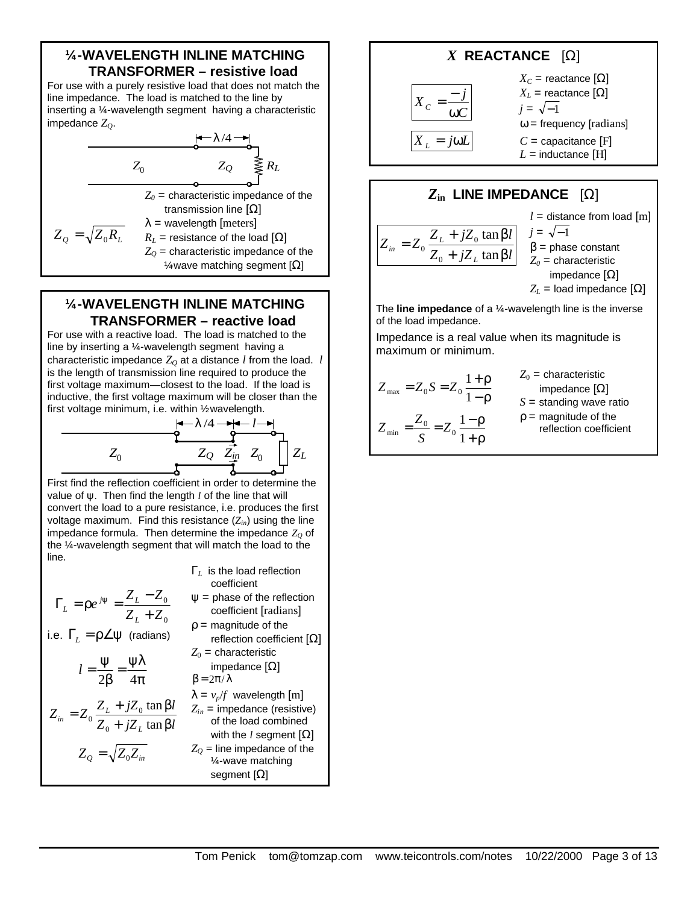#### **¼ -WAVELENGTH INLINE MATCHING TRANSFORMER – resistive load**

For use with a purely resistive load that does not match the line impedance. The load is matched to the line by inserting a 1/4-wavelength segment having a characteristic impedance *ZQ*.

$$
Z_0
$$
\n
$$
Z_0
$$
\n
$$
Z_1
$$
\n
$$
Z_2
$$
\n
$$
Z_3
$$
\n
$$
Z_4
$$
\n
$$
Z_5
$$
\n
$$
Z_6
$$
\n
$$
Z_7
$$
\n
$$
Z_8
$$
\n
$$
Z_9
$$
\n
$$
Z_9
$$
\n
$$
Z_9
$$
\n
$$
Z_9
$$
\n
$$
Z_9
$$
\n
$$
Z_1
$$
\n
$$
R_L
$$
\n
$$
Z_2
$$
\n
$$
Z_3
$$
\n
$$
Z_4
$$
\n
$$
Z_5
$$
\n
$$
Z_6
$$
\n
$$
Z_7
$$
\n
$$
Z_8
$$
\n
$$
Z_9
$$
\n
$$
Z_9
$$
\n
$$
Z_9
$$
\n
$$
Z_9
$$
\n
$$
Z_9
$$
\n
$$
Z_9
$$
\n
$$
Z_9
$$
\n
$$
Z_9
$$
\n
$$
Z_9
$$
\n
$$
Z_9
$$
\n
$$
Z_9
$$
\n
$$
Z_9
$$
\n
$$
Z_9
$$
\n
$$
Z_9
$$
\n
$$
Z_9
$$
\n
$$
Z_9
$$
\n
$$
Z_9
$$
\n
$$
Z_9
$$
\n
$$
Z_9
$$
\n
$$
Z_9
$$
\n
$$
Z_9
$$
\n
$$
Z_9
$$
\n
$$
Z_9
$$
\n
$$
Z_9
$$
\n
$$
Z_9
$$
\n
$$
Z_9
$$
\n
$$
Z_9
$$
\n
$$
Z_9
$$
\n
$$
Z_9
$$
\n
$$
Z_9
$$
\n
$$
Z_9
$$
\n
$$
Z_9
$$
\n
$$
Z_9
$$
\n
$$
Z_9
$$
\n
$$
Z_9
$$
\

#### **¼ -WAVELENGTH INLINE MATCHING TRANSFORMER – reactive load**

For use with a reactive load. The load is matched to the line by inserting a 1/4-wavelength segment having a characteristic impedance  $Z_0$  at a distance  $l$  from the load.  $l$ is the length of transmission line required to produce the first voltage maximum—closest to the load. If the load is inductive, the first voltage maximum will be closer than the first voltage minimum, i.e. within ½ wavelength.



First find the reflection coefficient in order to determine the value of ψ. Then find the length *l* of the line that will convert the load to a pure resistance, i.e. produces the first voltage maximum. Find this resistance (*Zin*) using the line impedance formula. Then determine the impedance  $Z<sub>Q</sub>$  of the 1/4-wavelength segment that will match the load to the line.

Γ*L* is the load reflection

$$
\Gamma_L = \rho e^{j\psi} = \frac{Z_L - Z_0}{Z_L + Z_0}
$$
\n
$$
\text{i.e. } \Gamma_L = \rho \angle \psi \text{ (radians)}
$$
\n
$$
l = \frac{\psi}{2\beta} = \frac{\psi \lambda}{4\pi}
$$
\n
$$
Z_{in} = Z_0 \frac{Z_L + jZ_0 \tan \beta l}{Z_0 + jZ_L \tan \beta l}
$$
\n
$$
I = \frac{\psi}{2\beta} = \frac{\psi \lambda}{4\pi}
$$
\n
$$
Z_{in} = \frac{\lambda}{\beta} = 2\pi/\lambda
$$
\n
$$
Z_{in} = \frac{\lambda}{\beta} = \frac{\lambda}{\beta} = \frac{\lambda}{\beta} = \frac{\lambda}{\beta} = \frac{\lambda}{\beta} = \frac{\lambda}{\beta} = \frac{\lambda}{\beta} = \frac{\lambda}{\beta} = \frac{\lambda}{\beta} = \frac{\lambda}{\beta} = \frac{\lambda}{\beta} = \frac{\lambda}{\beta} = \frac{\lambda}{\beta} = \frac{\lambda}{\beta} = \frac{\lambda}{\beta} = \frac{\lambda}{\beta} = \frac{\lambda}{\beta} = \frac{\lambda}{\beta} = \frac{\lambda}{\beta} = \frac{\lambda}{\beta} = \frac{\lambda}{\beta} = \frac{\lambda}{\beta} = \frac{\lambda}{\beta} = \frac{\lambda}{\beta} = \frac{\lambda}{\beta} = \frac{\lambda}{\beta} = \frac{\lambda}{\beta} = \frac{\lambda}{\beta} = \frac{\lambda}{\beta} = \frac{\lambda}{\beta} = \frac{\lambda}{\beta} = \frac{\lambda}{\beta} = \frac{\lambda}{\beta} = \frac{\lambda}{\beta} = \frac{\lambda}{\beta} = \frac{\lambda}{\beta} = \frac{\lambda}{\beta} = \frac{\lambda}{\beta} = \frac{\lambda}{\beta} = \frac{\lambda}{\beta} = \frac{\lambda}{\beta} = \frac{\lambda}{\beta} = \frac{\lambda}{\beta} = \frac{\lambda}{\beta} = \frac{\lambda}{\beta} = \frac{\lambda}{\beta} = \frac{\lambda}{\beta} = \frac{\lambda}{\beta} = \frac{\lambda}{\beta} = \frac{\lambda}{\beta} = \frac{\lambda}{\beta} = \frac{\lambda}{\beta} = \frac{\lambda}{\beta} = \frac{\lambda}{\beta} = \frac{\lambda}{\beta} = \frac{\lambda}{\beta} = \frac{\lambda}{\beta} = \frac{\lambda}{\beta} = \frac{\lambda}{\beta} = \frac{\lambda}{\beta} = \frac{\lambda}{
$$

*X* **REACTANCE** [Ω] *C j X C* ω − =  $X<sub>L</sub> = jωL$  $X_C$  = reactance  $[\Omega]$  $X_L$  = reactance  $[\Omega]$  $j = \sqrt{-1}$  $\omega$  = frequency [radians]  $C =$  capacitance  $[F]$  $L =$  inductance [H]

## *Z***in LINE IMPEDANCE** [Ω]

$$
Z_{in} = Z_0 \frac{Z_L + jZ_0 \tan \beta l}{Z_0 + jZ_L \tan \beta l}
$$

 $l =$  distance from load  $[m]$  $j = \sqrt{-1}$  $β = phase constant$  $Z_0$  = characteristic impedance  $[Ω]$  $Z_L$  = load impedance  $[\Omega]$ 

The **line impedance** of a ¼ -wavelength line is the inverse of the load impedance.

Impedance is a real value when its magnitude is maximum or minimum.

$$
Z_{\text{max}} = Z_0 S = Z_0 \frac{1+\rho}{1-\rho}
$$

$$
Z_{\text{min}} = \frac{Z_0}{S} = Z_0 \frac{1-\rho}{1+\rho}
$$

 $Z_0$  = characteristic impedance  $[Ω]$  $S =$  standing wave ratio  $\rho$  = magnitude of the reflection coefficient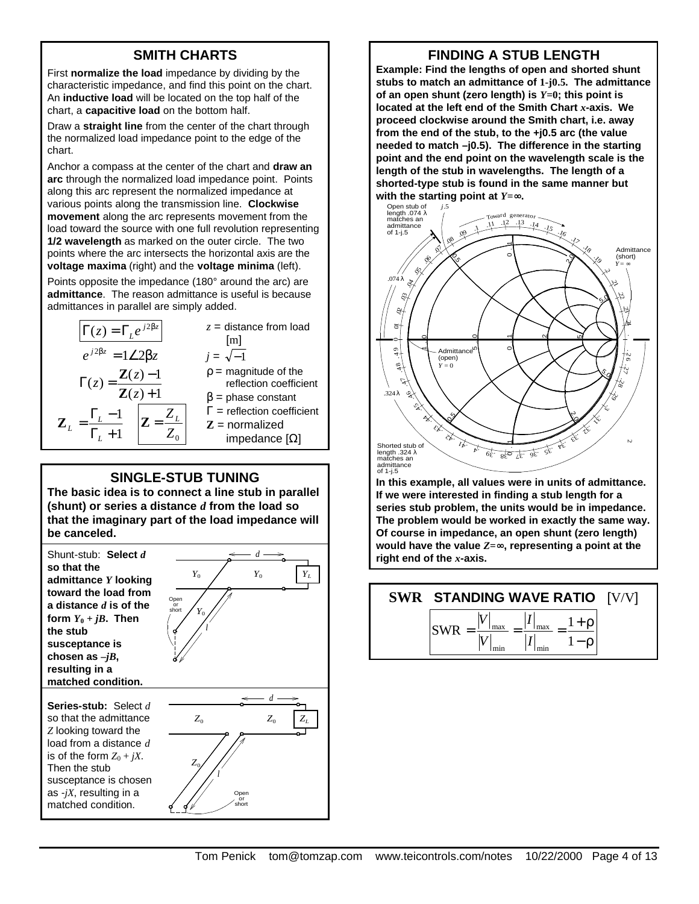# **SMITH CHARTS**

First **normalize the load** impedance by dividing by the characteristic impedance, and find this point on the chart. An **inductive load** will be located on the top half of the chart, a **capacitive load** on the bottom half.

Draw a **straight line** from the center of the chart through the normalized load impedance point to the edge of the chart.

Anchor a compass at the center of the chart and **draw an arc** through the normalized load impedance point. Points along this arc represent the normalized impedance at various points along the transmission line. **Clockwise movement** along the arc represents movement from the load toward the source with one full revolution representing **1/2 wavelength** as marked on the outer circle. The two points where the arc intersects the horizontal axis are the **voltage maxima** (right) and the **voltage minima** (left).

Points opposite the impedance (180° around the arc) are **admittance**. The reason admittance is useful is because admittances in parallel are simply added.

| $\Gamma(z) = \Gamma_i e^{j2\beta z}$<br>$e^{j2\beta z} = 1\angle 2\beta z$                                                           | $z =$ distance from load<br>[m]<br>$j = \sqrt{-1}$                                                                                                            |
|--------------------------------------------------------------------------------------------------------------------------------------|---------------------------------------------------------------------------------------------------------------------------------------------------------------|
| $\Gamma(z) = \frac{\mathbf{Z}(z) - 1}{\mathbf{Z}(z) + 1}$<br>$=\frac{\Gamma_L-1}{\Gamma_L+1}$<br>$\mathbf{Z}_{\scriptscriptstyle L}$ | $p =$ magnitude of the<br>reflection coefficient<br>$\beta$ = phase constant<br>$\Gamma$ = reflection coefficient<br>$Z =$ normalized<br>impedance $[\Omega]$ |
|                                                                                                                                      |                                                                                                                                                               |

#### **SINGLE-STUB TUNING**

**The basic idea is to connect a line stub in parallel (shunt) or series a distance** *d* **from the load so that the imaginary part of the load impedance will be canceled.**



**Series-stub:** Select *d* so that the admittance *Z* looking toward the load from a distance *d* is of the form  $Z_0 + iX$ . Then the stub susceptance is chosen as -*jX*, resulting in a matched condition.



**FINDING A STUB LENGTH**

**Example: Find the lengths of open and shorted shunt stubs to match an admittance of 1-j0.5. The admittance of an open shunt (zero length) is** *Y***=0; this point is located at the left end of the Smith Chart** *x***-axis. We proceed clockwise around the Smith chart, i.e. away from the end of the stub, to the +j0.5 arc (the value needed to match –j0.5). The difference in the starting point and the end point on the wavelength scale is the length of the stub in wavelengths. The length of a shorted-type stub is found in the same manner but with the starting point at** *Y***=¥.**



**In this example, all values were in units of admittance. If we were interested in finding a stub length for a series stub problem, the units would be in impedance. The problem would be worked in exactly the same way. Of course in impedance, an open shunt (zero length) would have the value** *Z***=¥, representing a point at the right end of the** *x***-axis.**

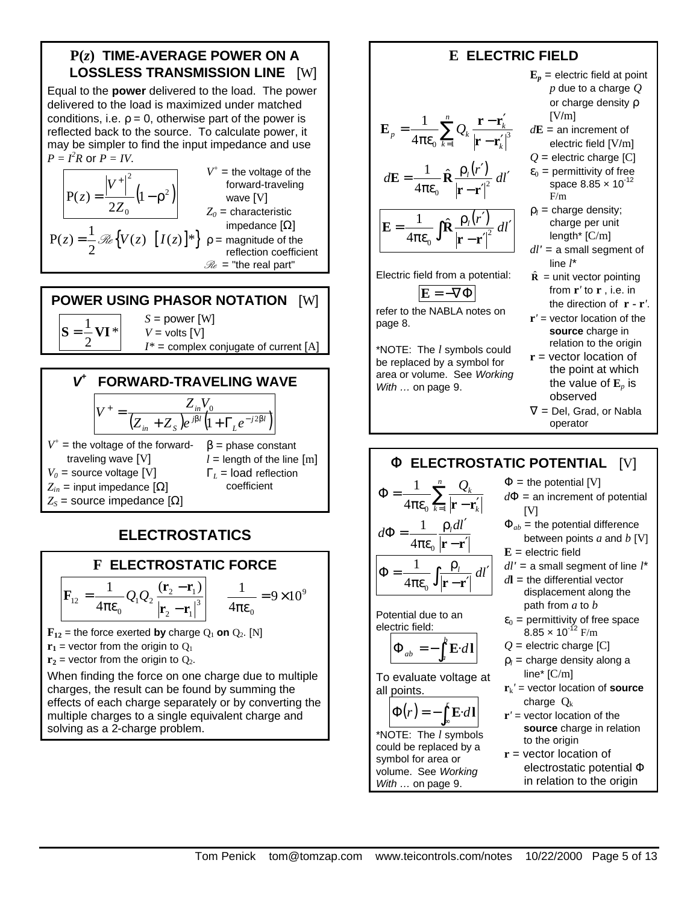## **P(***z***) TIME-AVERAGE POWER ON A LOSSLESS TRANSMISSION LINE** [W]

Equal to the **power** delivered to the load. The power delivered to the load is maximized under matched conditions, i.e.  $\rho = 0$ , otherwise part of the power is reflected back to the source. To calculate power, it may be simpler to find the input impedance and use  $P = I^2 R$  or  $P = IV$ .

$$
P(z) = \frac{|V^+|^2}{2Z_0} (1 - \rho^2)
$$
\n
$$
P(z) = \frac{1}{2} \mathcal{R}e \{V(z) \quad [I(z)]^*\}
$$
\n
$$
P(z) = \frac{1}{2} \mathcal{R}e \{V(z) \quad [I(z)]^*\}
$$
\n
$$
P(z) = \frac{1}{2} \mathcal{R}e \{V(z) \quad [I(z)]^*\}
$$
\n
$$
P(z) = \frac{1}{2} \mathcal{R}e \{V(z) \quad [I(z)]^*\}
$$
\n
$$
P(z) = \frac{1}{2} \mathcal{R}e \{V(z) \quad [I(z)]^*\}
$$
\n
$$
P(z) = \frac{1}{2} \mathcal{R}e \{V(z) \quad [I(z)]^*\}
$$
\n
$$
P(z) = \frac{1}{2} \mathcal{R}e \{V(z) \quad [I(z)]^*\}
$$
\n
$$
P(z) = \frac{1}{2} \mathcal{R}e \{V(z) \quad [I(z)]^*\}
$$
\n
$$
P(z) = \frac{1}{2} \mathcal{R}e \{V(z) \quad [I(z)]^*\}
$$
\n
$$
P(z) = \frac{1}{2} \mathcal{R}e \{V(z) \quad [I(z)]^*\}
$$
\n
$$
P(z) = \frac{1}{2} \mathcal{R}e \{V(z) \quad [I(z)]^*\}
$$

ltage of the l-traveling  $\sqrt{ }$ *Z0* = characteristic  $nc$ e [Ω] ιde of the on coefficient

**POWER USING PHASOR NOTATION** [W] \* 2  $S = \frac{1}{2}VI$ *S* = power [W]  $V =$  volts  $[V]$  $I^*$  = complex conjugate of current  $[A]$ 



# **ELECTROSTATICS**



When finding the force on one charge due to multiple charges, the result can be found by summing the effects of each charge separately or by converting the multiple charges to a single equivalent charge and solving as a 2-charge problem.

#### **E ELECTRIC FIELD**  $\sum_{k=1}^n Q_k \frac{\mathbf{r} - \mathbf{r}'_k}{\left|\mathbf{r} - \mathbf{r}'_k\right|}$ πε  $=\frac{1}{\cdot}$  $k=1$   $\boldsymbol{\Gamma} - \boldsymbol{\Gamma}_k$  $p_p = \frac{1}{4\pi R} \sum Q_k \frac{1}{1-r}$  $4\pi\epsilon_0 \stackrel{\sum k}{\longrightarrow} \frac{\sum k}{\left|\mathbf{r}-\mathbf{r}'_k\right|^3}$ 1  $\mathbf{r} - \mathbf{r}$  $\mathbf{E}_n = \frac{1}{\epsilon} \sum_{k=1}^{n} Q_k \frac{\mathbf{r} - \mathbf{r}}{k}$  $d\mathbf{E} = \frac{1}{\hbar} \hat{\mathbf{R}} \frac{\rho_l(r')}{r^2} dl'$  $-{\bf r}'$ ρ, $(r^{\prime}% r_{0}+\sigma_{r}^{\prime})=\sigma_{r}^{\prime}(\sigma_{r}^{\prime}-\sigma_{r}^{\prime})$  $=\frac{1}{4\pi\epsilon_0}\hat{\mathbf{R}}\frac{\mathbf{P}_l\mathbf{V}'}{\left|\mathbf{r}-\mathbf{r}'\right|^2}$ 0 ˆ 4 1 **r r**  $E = \frac{1}{\epsilon}$  $R$  $\int \hat{\mathbf{R}} \frac{\rho_l(r')}{|\mathbf{r}-\mathbf{r'}|^2} dl'$  $-{\bf r}'$  $\rho$ , $(r^{\prime}% r_{0})=\rho_{0}r_{0}$ πε  $=\frac{1}{4\pi\epsilon}\int \hat{\mathbf{R}} \frac{\rho_l(r')}{r'^2} dl$  $\mathbf{0}$ ˆ 4 1 **r r**  $E = \frac{1}{1}$   $R$ Electric field from a potential:  $\mathbf{E} = -\nabla \Phi$ refer to the NABLA notes on page 8. \*NOTE: The *l* symbols could be replaced by a symbol for area or volume. See *Working With …* on page 9.  $\mathbf{E}_p = \text{electric field at point}$ *p* due to a charge *Q* or charge density  $ρ$ [V/m] *d***E** = an increment of electric field [V/m]  $Q =$  electric charge  $[C]$  $\varepsilon_0$  = permittivity of free space 8.85 x 10<sup>-12</sup> F/m  $\rho_l$  = charge density; charge per unit length\* [C/m] *dl'* = a small segment of line *l*\*  $\hat{\mathbf{R}}$  = unit vector pointing from **r***'* to **r** , i.e. in the direction of **r - r***'*. **r***'* = vector location of the **source** charge in relation to the origin **r** = vector location of the point at which the value of  $\mathbf{E}_p$  is observed  $\nabla$  = Del, Grad, or Nabla operator **F ELECTROSTATIC POTENTIAL** [V]  $\Phi = \frac{1}{4\pi\epsilon_0} \sum_{k=1}^n \frac{Q_k}{|\mathbf{r} - \mathbf{r}_k|}$  $k=1$   $\vert \mathbf{I} - \mathbf{I}_k \vert$ *Qk*  $4\pi \varepsilon_0$   $\overline{\mathcal{L}}_1$ 1  $\mathbf{r} - \mathbf{r}$ **r** − **r**′  $\rho$ <sub>,</sub> $dl'$ πε  $d\Phi = \frac{1}{t} \frac{\rho_l dl}{dt}$  $4\pi \epsilon_{\text{o}}$ 1 *dl l* ′  $-{\bf r}'$ ρ πε  $\Phi = \frac{1}{4\pi\epsilon} \int$  $4\pi \varepsilon_{0}$   $\mathbf{J}$   $\mathbf{r}$  –  $\mathbf{r}$ 1 Potential due to an electric field:  $\Phi$ <sub>ab</sub> =  $-\int_a^b$  $_{ab} = -\int_{a}^{b} \mathbf{E} \cdot d\mathbf{l}$ To evaluate voltage at all points.  $\Phi(r) = -\int_{\infty}^{r} \mathbf{E} \cdot d\mathbf{l}$ \*NOTE: The *l* symbols could be replaced by a symbol for area or volume. See *Working With …* on page 9.  $\Phi$  = the potential [V]  $d\Phi$  = an increment of potential  $[V]$  $\Phi_{ab}$  = the potential difference between points *a* and *b* [V] **E** = electric field *dl'* = a small segment of line *l*\* *d***l** = the differential vector displacement along the path from *a* to *b*  $\varepsilon_0$  = permittivity of free space  $8.85 \times 10^{-12}$  F/m  $Q =$  electric charge  $[C]$  $p_l$  = charge density along a line\* [C/m]  $\mathbf{r}_{k}$ <sup>'</sup> = vector location of **source** charge  $Q_k$ **r***'* = vector location of the **source** charge in relation to the origin **r** = vector location of electrostatic potential Φ in relation to the origin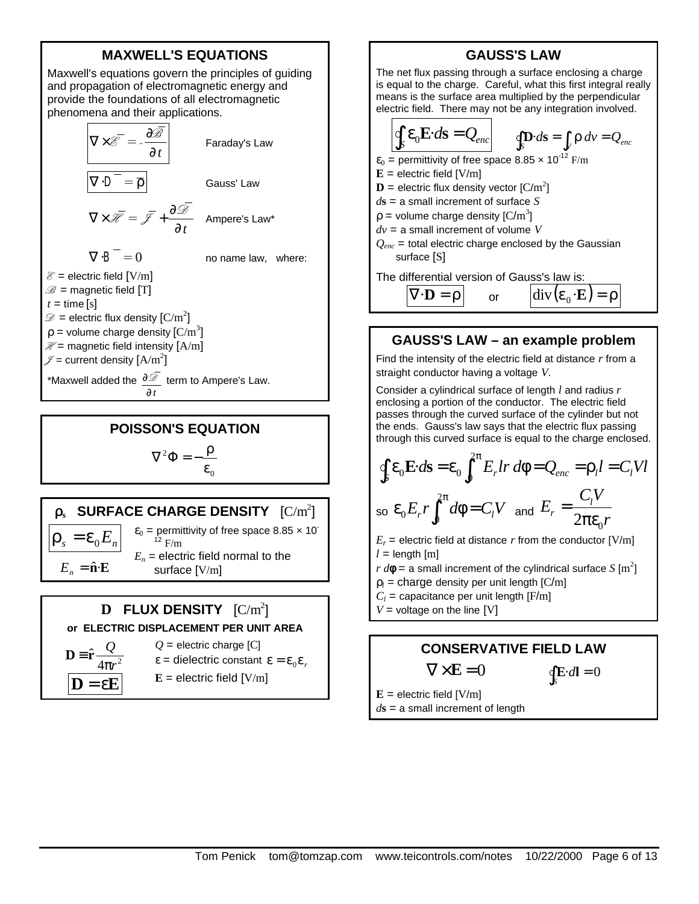# **MAXWELL'S EQUATIONS**

Maxwell's equations govern the principles of guiding and propagation of electromagnetic energy and provide the foundations of all electromagnetic phenomena and their applications.



#### **POISSON'S EQUATION**

$$
\nabla^2 \Phi = -\frac{\rho}{\epsilon_0}
$$

## $\mathbf{r}_\mathrm{s}$  SURFACE CHARGE DENSITY  $\rm [C/m^2]$  $\varepsilon_0$  = permittivity of free space 8.85  $\times$  10<sup>-</sup>

 $\rho_s = \varepsilon_0 E_n$  $E_n = \hat{\mathbf{n}} \cdot \mathbf{E}$  $12$  F/m  $E_n$  = electric field normal to the surface [V/m]

#### $\mathbf{D}$  FLUX DENSITY  $\rm [C/m^2]$ **or ELECTRIC DISPLACEMENT PER UNIT AREA**

$$
D = \hat{r} \frac{Q}{4\pi r^2}
$$

$$
D = \varepsilon E
$$

 $Q =$  electric charge  $[C]$  $\epsilon$  = dielectric constant  $\epsilon = \epsilon_0 \epsilon_r$ 

 $E =$  electric field  $[V/m]$ 

**GAUSS'S LAW**  
\nThe net flux passing through a surface enclosing a charge  
\nis equal to the charge. Careful, what this first integral really  
\nmeans is the surface area multiplied by the perpendicular  
\nelectric field. There may not be any integration involved.  
\n
$$
\oint_{S} \mathbf{E} \cdot d\mathbf{s} = Q_{enc}
$$
\n
$$
\oint_{S} \mathbf{D} \cdot d\mathbf{s} = \int_{V} \rho \, dv = Q_{enc}
$$
\n
$$
\mathbf{E} = \text{electric field } [V/m]
$$
\n
$$
\mathbf{D} = \text{electric flux density vector } [C/m^2]
$$
\n
$$
ds = \text{a small increment of surface } S
$$
\n
$$
\rho = \text{volume charge density } [C/m^3]
$$
\n
$$
dv = \text{a small increment of volume } V
$$
\n
$$
Q_{enc} = \text{total electric charge enclosed by the Gaussian surface [S]}
$$
\n
$$
\text{Three } [S] = \text{The differential version of Gauss's law is:}
$$
\n
$$
\overline{V \cdot D} = \rho \qquad \text{or} \qquad \overline{div (\varepsilon_0 \cdot E)} = \rho
$$

**GAUSS GAUSS** 

#### **GAUSS'S LAW – an example problem**

Find the intensity of the electric field at distance *r* from a straight conductor having a voltage *V*.

Consider a cylindrical surface of length *l* and radius *r* enclosing a portion of the conductor. The electric field passes through the curved surface of the cylinder but not the ends. Gauss's law says that the electric flux passing through this curved surface is equal to the charge enclosed.

$$
\oint_{S} \mathbf{\varepsilon}_{0} \mathbf{E} \cdot d\mathbf{s} = \mathbf{\varepsilon}_{0} \int_{0}^{2\pi} E_{r} l r \, d\phi = Q_{enc} = \rho_{l} l = C_{l} V l
$$
\n
$$
\text{so } \mathbf{\varepsilon}_{0} E_{r} r \int_{0}^{2\pi} d\phi = C_{l} V \text{ and } E_{r} = \frac{C_{l} V}{2\pi \varepsilon_{0} r}
$$

 $E_r$  = electric field at distance  $r$  from the conductor [V/m]  $l =$  length  $[m]$ 

*r d***f** = a small increment of the cylindrical surface  $S$  [m<sup>2</sup>]

- $\rho_l$  = charge density per unit length  $[C/m]$
- $C_l$  = capacitance per unit length [F/m]
- $V =$  voltage on the line  $[V]$

# **CONSERVATIVE FIELD LAW**

$$
\nabla \times \mathbf{E} = 0 \qquad \qquad \oint_{S} \mathbf{E} \cdot d\mathbf{l} = 0
$$

 $E =$  electric field  $[V/m]$ *d***s** = a small increment of length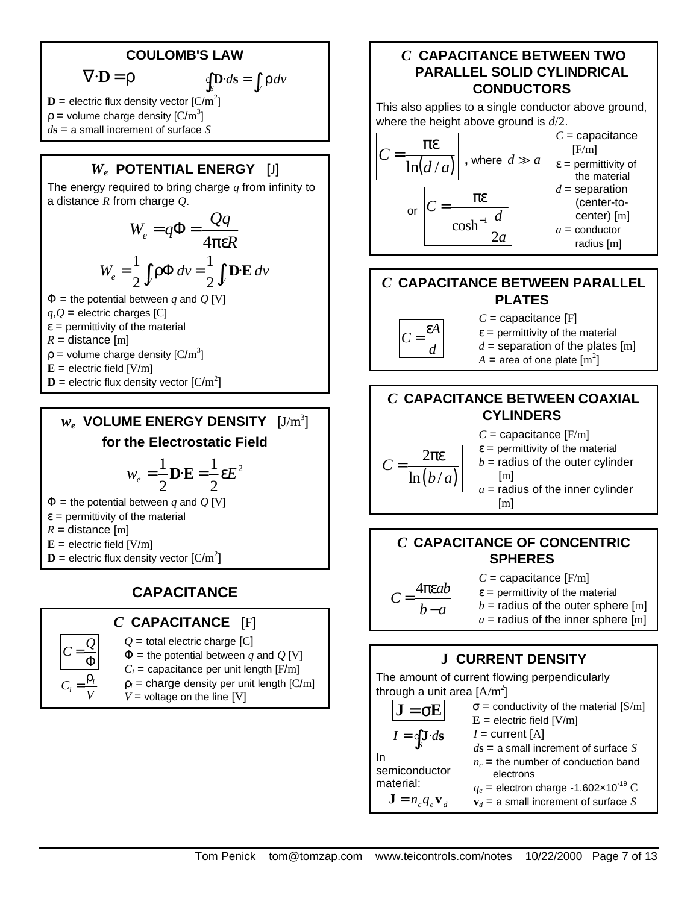## **COULOMB'S LAW**

$$
\nabla \cdot \mathbf{D} = \rho
$$

$$
\nabla \cdot \mathbf{D} = \rho \qquad \qquad \oint_{S} \mathbf{D} \cdot d\mathbf{s} = \int_{V} \rho \, dv
$$

 $\mathbf{D}$  = electric flux density vector  $\text{[C/m}^2\text{]}$  $\rho$  = volume charge density [C/m<sup>3</sup>] *d***s** = a small increment of surface *S*

# *W<sup>e</sup>*  **POTENTIAL ENERGY** [J]

The energy required to bring charge *q* from infinity to a distance *R* from charge *Q*.

$$
W_e = q\Phi = \frac{Qq}{4\pi\epsilon R}
$$

$$
W_e = \frac{1}{2} \int_V \rho \Phi \, dv = \frac{1}{2} \int_V \mathbf{D} \mathbf{E} \, dv
$$

 $\Phi$  = the potential between *q* and *Q* [V]

 $q, Q$  = electric charges [C]

 $\epsilon$  = permittivity of the material

- $R =$  distance  $[m]$
- $\rho$  = volume charge density [C/m<sup>3</sup>]
- $E =$  electric field  $[V/m]$
- $\mathbf{D}$  = electric flux density vector  $\text{[C/m}^2\text{]}$

# $w_e$  VOLUME ENERGY DENSITY  $\rm [J/m^3]$ **for the Electrostatic Field**

$$
w_e = \frac{1}{2}\mathbf{D}\cdot\mathbf{E} = \frac{1}{2}\epsilon E^2
$$

 $\Phi$  = the potential between *q* and *Q* [V]

- $\epsilon$  = permittivity of the material
- $R =$  distance  $[m]$
- $E =$  electric field  $[V/m]$
- $\mathbf{D}$  = electric flux density vector  $\text{[C/m}^2\text{]}$

# **CAPACITANCE**

## *C* **CAPACITANCE** [F]

- Φ = *Q C V C l l* ρ =
- $Q$  = total electric charge  $[C]$  $\Phi$  = the potential between *q* and *Q* [V]
- $C_l$  = capacitance per unit length [F/m]
- $\rho_l$  = charge density per unit length  $\text{[C/m]}$

 $V =$  voltage on the line  $[V]$ 

#### *C* **CAPACITANCE BETWEEN TWO PARALLEL SOLID CYLINDRICAL CONDUCTORS**

This also applies to a single conductor above ground, where the height above ground is *d*/2.



#### *C* **CAPACITANCE BETWEEN PARALLEL PLATES**



- *C* = capacitance [F]  $\epsilon$  = permittivity of the material
- $d =$  separation of the plates [m]
- $A=$  area of one plate  $\left[\mathrm{m}^2\right]$

#### *C* **CAPACITANCE BETWEEN COAXIAL CYLINDERS**

- $ln(b/a)$ 2 πε *C* =
- $C =$  capacitance  $[F/m]$  $\epsilon$  = permittivity of the material  $b =$  radius of the outer cylinder [m]
- $a =$  radius of the inner cylinder [m]

## *C* **CAPACITANCE OF CONCENTRIC SPHERES**

 $C = \frac{4\pi\epsilon ab}{I}$  $b - a$  $C=$ 

*C* = capacitance [F/m]  $\epsilon$  = permittivity of the material  $b =$  radius of the outer sphere  $[m]$  $a =$  radius of the inner sphere [m]

# **J CURRENT DENSITY**

| The amount of current flowing perpendicularly |                                                    |  |  |
|-----------------------------------------------|----------------------------------------------------|--|--|
| through a unit area $[A/m^2]$                 |                                                    |  |  |
| $J = \sigma E$                                | $\sigma$ = conductivity of the material [S/m]      |  |  |
|                                               | $E =$ electric field [V/m]                         |  |  |
| $I = \oint_{c} \mathbf{J} \cdot d\mathbf{s}$  | $I =$ current [A]                                  |  |  |
|                                               | $d\mathbf{s}$ = a small increment of surface S     |  |  |
| In                                            | $n_c$ = the number of conduction band              |  |  |
| semiconductor                                 | electrons                                          |  |  |
| material:                                     | $q_e$ = electron charge -1.602×10 <sup>-19</sup> C |  |  |
| $\mathbf{J} = n_c q_e \mathbf{v}_d$           | ${\bf v}_d$ = a small increment of surface S       |  |  |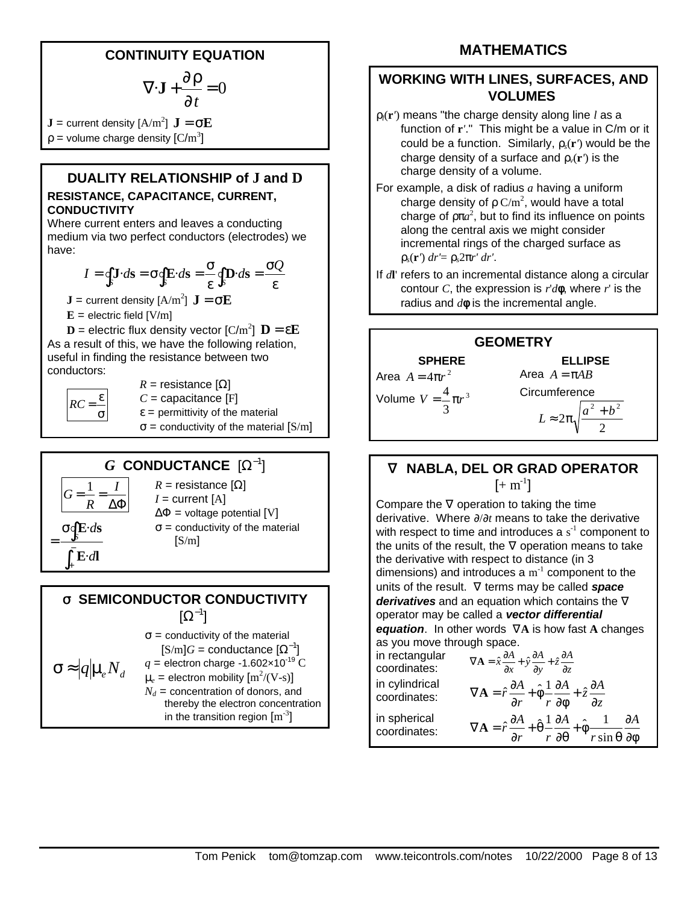## **CONTINUITY EQUATION**

$$
\nabla \cdot \mathbf{J} + \frac{\partial \rho}{\partial t} = 0
$$

 $\mathbf{J} = \text{current density}~[\text{A/m}^2]~\mathbf{J} = \boldsymbol{\sigma}\mathbf{E}$  $\rho$  = volume charge density  $\text{[C/m$^3$]}$ 

#### **DUALITY RELATIONSHIP of J and D RESISTANCE, CAPACITANCE, CURRENT, CONDUCTIVITY**

Where current enters and leaves a conducting medium via two perfect conductors (electrodes) we have:

$$
I = \oint_{S} \mathbf{J} \cdot d\mathbf{s} = \sigma \oint_{S} \mathbf{E} \cdot d\mathbf{s} = \frac{\sigma}{\varepsilon} \oint_{S} \mathbf{D} \cdot d\mathbf{s} = \frac{\sigma Q}{\varepsilon}
$$

 $\mathbf{J}$  = current density [A/m $^2$ ]  $\mathbf{J} = \mathbf{\sigma} \mathbf{E}$ 

 $E =$  electric field  $[V/m]$ 

 $\mathbf{D}$  = electric flux density vector [C/m<sup>2</sup>]  $\mathbf{D} = \varepsilon \mathbf{E}$ As a result of this, we have the following relation, useful in finding the resistance between two

conductors:

σ  $RC = \frac{\varepsilon}{\varepsilon}$  $R =$  resistance  $[\Omega]$  $C =$  capacitance [F]  $\epsilon$  = permittivity of the material  $\sigma$  = conductivity of the material [S/m]

# $G$  **CONDUCTANCE**  $[\Omega^{-1}]$



 $R$  = resistance [Ω]  $I =$  current  $[A]$  $\Delta \Phi$  = voltage potential [V]  $\sigma$  = conductivity of the material  $[S/m]$ 

# **s SEMICONDUCTOR CONDUCTIVITY**

 $[\Omega^{-1}]$ 

$$
\sigma \approx |q| \mu_e N_d
$$

$$
[S/m]G = \text{conductance } [Ω-1]
$$
\n
$$
\mu_e N_d \qquad q = \text{electron charge -1.602×10-19 C}
$$
\n
$$
\mu_e = \text{electron mobility [m2/(V-s)]}
$$
\n
$$
N_d = \text{concentration of donors, and thereby the electron concentration in the transition region [m-3]
$$

 $\sigma$  = conductivity of the material

# **MATHEMATICS**

#### **WORKING WITH LINES, SURFACES, AND VOLUMES**

- ρ*l*(**r***'*) means "the charge density along line *l* as a function of **r***'*." This might be a value in C/m or it could be a function. Similarly, ρ*s*(**r***'*) would be the charge density of a surface and  $\rho_v(\mathbf{r}')$  is the charge density of a volume.
- For example, a disk of radius *a* having a uniform charge density of  $\rho C/m^2$ , would have a total charge of  $p\pi a^2$ , but to find its influence on points along the central axis we might consider incremental rings of the charged surface as ρ*s*(**r***'*) *dr'*= ρ*s*2π*r' dr'*.
- If *d***l**' refers to an incremental distance along a circular contour *C*, the expression is *r*'*d***f**, where *r*' is the radius and *d***f** is the incremental angle.



## **Ñ NABLA, DEL OR GRAD OPERATOR**  $[+ \, \text{m}^{\text{-}1}]$

Compare the  $\nabla$  operation to taking the time derivative. Where ∂/∂*t* means to take the derivative with respect to time and introduces a  $s<sup>-1</sup>$  component to the units of the result, the ∇ operation means to take the derivative with respect to distance (in 3 dimensions) and introduces a  $m^{-1}$  component to the units of the result. ∇ terms may be called *space derivatives* and an equation which contains the ∇ operator may be called a *vector differential equation*. In other words ∇**A** is how fast **A** changes as you move through space. in rectangular in rectangular  $\nabla \mathbf{A} = \hat{x} \frac{\partial A}{\partial x} + \hat{y} \frac{\partial A}{\partial y} + \hat{z} \frac{\partial A}{\partial z}$ in cylindrical coo  $\nabla \mathbf{A} = \hat{r} \frac{\partial A}{\partial x} + \hat{\phi} \frac{1}{2} \frac{\partial A}{\partial y} + \hat{z} \frac{\partial A}{\partial z}$ 

| coordinates: | $V \mathbf{A} = r \frac{m}{r} + \phi$<br>$\overline{r}$ $\overline{\partial}$                                                                                               |  |
|--------------|-----------------------------------------------------------------------------------------------------------------------------------------------------------------------------|--|
| in spherical | $\nabla \mathbf{A} = \hat{r} \frac{\partial A}{\partial r} + \hat{\theta} \frac{1}{r} \frac{\partial A}{\partial r} + \hat{\phi} \frac{1}{r} \frac{\partial A}{\partial r}$ |  |
| coordinates: | $\int r \sin \theta \ \partial \phi$<br>$r \partial \theta$                                                                                                                 |  |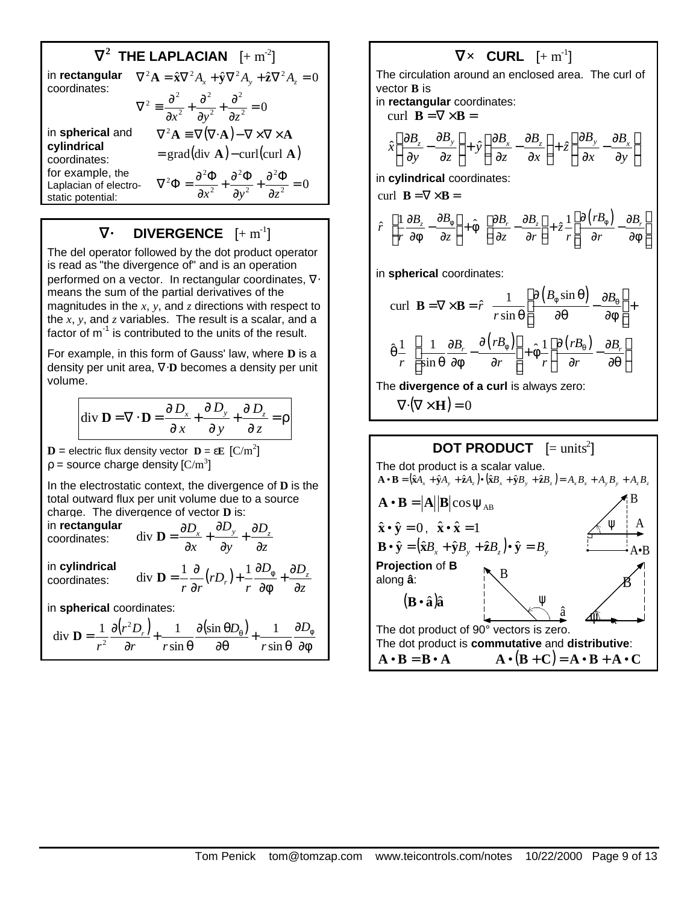$$
\begin{aligned}\n\widetilde{\mathbf{N}}^2 \quad \mathbf{THE} \quad \mathbf{LAPLACIAN} \quad [+ \, \mathbf{m}^{-2}] \\
\text{in rectangular} \quad \nabla^2 \mathbf{A} &= \hat{\mathbf{x}} \nabla^2 A_x + \hat{\mathbf{y}} \nabla^2 A_y + \hat{\mathbf{z}} \nabla^2 A_z = 0 \\
\text{coordinates:} \quad \nabla^2 \equiv \frac{\partial^2}{\partial x^2} + \frac{\partial^2}{\partial y^2} + \frac{\partial^2}{\partial z^2} = 0 \\
\text{in spherical and} \quad \nabla^2 \mathbf{A} &= \nabla (\nabla \cdot \mathbf{A}) - \nabla \times \nabla \times \mathbf{A} \\
\text{cylindrical} \quad &= \text{grad}(\text{div } \mathbf{A}) - \text{curl}(\text{curl } \mathbf{A}) \\
\text{for example, the} \quad \text{Laplacian of electro-} \quad \nabla^2 \Phi &= \frac{\partial^2 \Phi}{\partial x^2} + \frac{\partial^2 \Phi}{\partial y^2} + \frac{\partial^2 \Phi}{\partial z^2} = 0 \\
\text{static potential:}\n\end{aligned}
$$

#### $\tilde{\mathbf{N}}$ •  $\mathbf{D}$ IVERGENCE  $[+ \, \mathrm{m}^{\text{-}1}]$

The del operator followed by the dot product operator is read as "the divergence of" and is an operation performed on a vector. In rectangular coordinates,  $\nabla$ . means the sum of the partial derivatives of the magnitudes in the *x*, *y*, and *z* directions with respect to the *x*, *y*, and *z* variables. The result is a scalar, and a factor of  $m^{-1}$  is contributed to the units of the result.

For example, in this form of Gauss' law, where **D** is a density per unit area, ∇⋅**D** becomes a density per unit volume.

$$
\text{div }\mathbf{D} = \nabla \cdot \mathbf{D} = \frac{\partial D_x}{\partial x} + \frac{\partial D_y}{\partial y} + \frac{\partial D_z}{\partial z} = \rho
$$

 **= electric flux density vector**  $**D**$  **= ε** $**E**$  **[C/m<sup>2</sup>]**  $p =$  source charge density  $[C/m^3]$ 

div **D** =  $\frac{\partial}{\partial x}$ 

In the electrostatic context, the divergence of **D** is the total outward flux per unit volume due to a source charge. The divergence of vector **D** is:

*x*

*r r*

∂  $\operatorname{div} \mathbf{D} = \frac{1}{2} \frac{\partial}{\partial x} (rD_r) + \frac{1}{2} \frac{\partial D_\phi}{\partial y}$ 

∂

*z D*

 $\frac{1}{r}$ ) +  $\frac{1}{r} \frac{\partial D_{\phi}}{\partial \phi}$  +  $\frac{\partial D_{z}}{\partial z}$ 

∂φ ∂ +

 $D_{\scriptscriptstyle (\!\varsigma\!)}$   $\!$   $\partial D$ 

 $+\frac{6}{x}$ 

∂  $+\frac{6}{x}$ 

*r*

*y D*

∂ ∂ +

*rD*

 $D_x \mathop{\perp}\limits_{\perp} \partial D_y \mathop{\perp}\limits_{\perp} \partial D_z$ 

in **rectangular** coordinates:

in **cylindrical** coordinates:  $\text{div } \mathbf{D} = \frac{1}{r} \frac{\partial}{\partial r} (rD_r) + \frac{1}{r} \frac{\partial D_\phi}{\partial \phi} + \frac{\partial D}{\partial z}$ 

in **spherical** coordinates:

$$
\operatorname{div} \mathbf{D} = \frac{1}{r^2} \frac{\partial (r^2 D_r)}{\partial r} + \frac{1}{r \sin \theta} \frac{\partial (\sin \theta D_{\theta})}{\partial \theta} + \frac{1}{r \sin \theta} \frac{\partial D_{\phi}}{\partial \phi}
$$

# $\tilde{\mathbf{N}} \times \quad \textbf{CURL} \quad [+~\mathbf{m}^\text{-1}]$

The circulation around an enclosed area. The curl of vector **B** is

in **rectangular** coordinates:

curl  $\mathbf{B} = \nabla \times \mathbf{B} =$ 

$$
\hat{x}\left(\frac{\partial B_z}{\partial y} - \frac{\partial B_y}{\partial z}\right) + \hat{y}\left(\frac{\partial B_x}{\partial z} - \frac{\partial B_z}{\partial x}\right) + \hat{z}\left(\frac{\partial B_y}{\partial x} - \frac{\partial B_x}{\partial y}\right)
$$

in **cylindrical** coordinates:

$$
\text{curl } \mathbf{B} = \nabla \times \mathbf{B} =
$$

$$
\hat{r} \left[ \frac{1}{r} \frac{\partial B_z}{\partial \phi} - \frac{\partial B_{\phi}}{\partial z} \right] + \hat{\phi} \left[ \frac{\partial B_r}{\partial z} - \frac{\partial B_z}{\partial r} \right] + \hat{z} \frac{1}{r} \left[ \frac{\partial (rB_{\phi})}{\partial r} - \frac{\partial B_r}{\partial \phi} \right]
$$

in **spherical** coordinates:

curl 
$$
\mathbf{B} = \nabla \times \mathbf{B} = \hat{r} \frac{1}{r \sin \theta} \left[ \frac{\partial (B_{\phi} \sin \theta)}{\partial \theta} - \frac{\partial B_{\theta}}{\partial \phi} \right] + \hat{\theta} \frac{1}{r} \left[ \frac{1}{\sin \theta} \frac{\partial B_{r}}{\partial \phi} - \frac{\partial (rB_{\phi})}{\partial r} \right] + \hat{\phi} \frac{1}{r} \left[ \frac{\partial (rB_{\theta})}{\partial r} - \frac{\partial B_{r}}{\partial \theta} \right]
$$

The **divergence of a curl** is always zero:

$$
\nabla \cdot (\nabla \times \mathbf{H}) = 0
$$

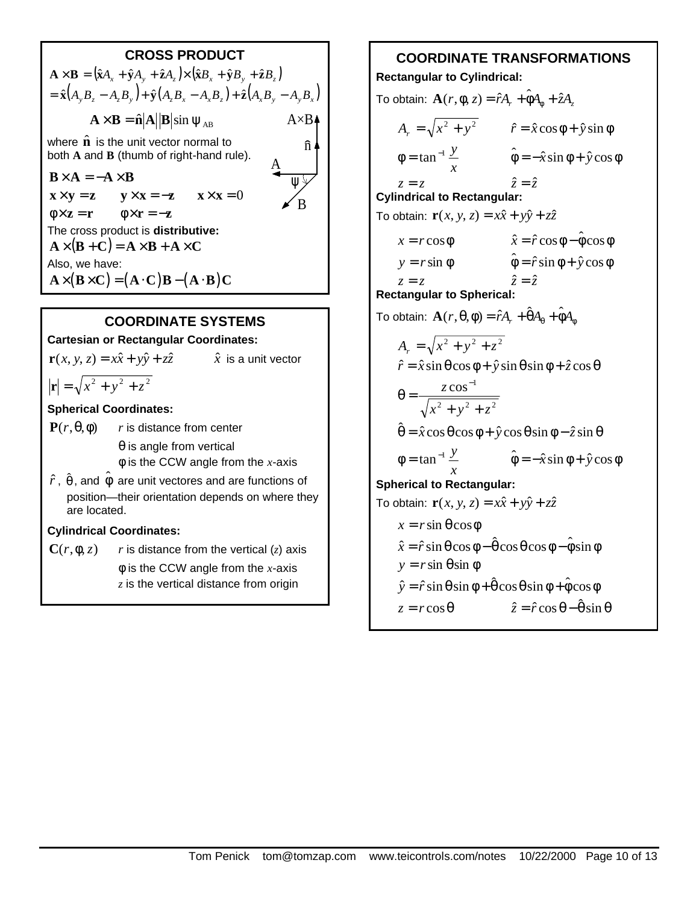## **CROSS PRODUCT**

 $\mathbf{A} \times \mathbf{B} = (\hat{\mathbf{x}}A_x + \hat{\mathbf{y}}A_y + \hat{\mathbf{z}}A_z) \times (\hat{\mathbf{x}}B_x + \hat{\mathbf{y}}B_y + \hat{\mathbf{z}}B_z)$  $= \hat{\mathbf{x}} (A_y B_z - A_z B_y) + \hat{\mathbf{y}} (A_z B_x - A_x B_z) + \hat{\mathbf{z}} (A_x B_y - A_y B_x)$  $\mathbf{A} \times \mathbf{B} = \hat{\mathbf{n}} \mathbf{A} \mathbf{B} \sin \psi_{AB}$ where  $\hat{\mathbf{n}}$  is the unit vector normal to both **A** and **B** (thumb of right-hand rule).  $\mathbf{B} \times \mathbf{A} = -\mathbf{A} \times \mathbf{B}$  $\mathbf{x} \times \mathbf{y} = \mathbf{z}$   $\mathbf{y} \times \mathbf{x} = -\mathbf{z}$   $\mathbf{x} \times \mathbf{x} = 0$  $\phi \times z = r$   $\phi \times r = -z$ The cross product is **distributive:**  $\mathbf{A} \times (\mathbf{B} + \mathbf{C}) = \mathbf{A} \times \mathbf{B} + \mathbf{A} \times \mathbf{C}$ Also, we have:  $\mathbf{A} \times (\mathbf{B} \times \mathbf{C}) = (\mathbf{A} \cdot \mathbf{C}) \mathbf{B} - (\mathbf{A} \cdot \mathbf{B}) \mathbf{C}$  $\hat{n}$ ψ  $A \times B$ <sup> $\triangle$ </sup> A B

#### **COORDINATE SYSTEMS**

#### **Cartesian or Rectangular Coordinates:**

 $\mathbf{r}(x, y, z) = x\hat{x} + y\hat{y} + z\hat{z}$   $\hat{x}$  is a unit vector

 $|\mathbf{r}| = \sqrt{x^2 + y^2 + z^2}$ 

#### **Spherical Coordinates:**

- **P**( $r$ ,  $θ$ ,  $φ$ ) *r* is distance from center  $\theta$  is angle from vertical φ is the CCW angle from the *x*-axis
- $\hat{r}$  ,  $\hat{\theta}$  , and  $\hat{\phi}$  are unit vectores and are functions of position—their orientation depends on where they are located.

#### **Cylindrical Coordinates:**

 $\mathbf{C}(r, \phi, z)$  *r* is distance from the vertical (*z*) axis φ is the CCW angle from the *x*-axis *z* is the vertical distance from origin

#### **COORDINATE TRANSFORMATIONS Rectangular to Cylindrical:**

 $\text{To obtain: } \mathbf{A}(r, \phi, z) = \hat{r} A_r + \hat{\phi} A_\phi + \hat{z} A_z$  $A_r = \sqrt{x^2 + y^2}$   $\hat{r} = \hat{x} \cos \phi + \hat{y} \sin \phi$ *x*  $\phi = \tan^{-1} \frac{y}{\phi}$   $\hat{\phi} = -\hat{x} \sin \phi + \hat{y} \cos \phi$  $z = z$   $\hat{z} = \hat{z}$ **Cylindrical to Rectangular:** To obtain:  $\mathbf{r}(x, y, z) = x\hat{x} + y\hat{y} + z\hat{z}$  $x = r \cos \phi$   $\hat{x} = \hat{r} \cos \phi - \hat{\phi} \cos \phi$  $y = r \sin φ$  $\hat{\phi} = \hat{r} \sin \phi + \hat{y} \cos \phi$  $z = z$   $\hat{z} = \hat{z}$ **Rectangular to Spherical:**  $\text{To obtain: } \mathbf{A}(r, \theta, \phi) = \hat{r} A_r + \hat{\theta} A_\theta + \hat{\phi} A_\phi$  $A_r = \sqrt{x^2 + y^2 + z^2}$  $\hat{r} = \hat{x} \sin \theta \cos \phi + \hat{y} \sin \theta \sin \phi + \hat{z} \cos \theta$ 2  $\sqrt{2}$   $\sqrt{2}$  $\cos^{-1}$  $x^2 + y^2 + z$ *z*  $+ y^2 +$  $\theta =$ −  $\hat{\theta} = \hat{x} \cos \theta \cos \phi + \hat{y} \cos \theta \sin \phi - \hat{z} \sin \theta$ *x*  $\phi = \tan^{-1} \frac{y}{\phi}$   $\hat{\phi} = -\hat{x} \sin \phi + \hat{y} \cos \phi$ **Spherical to Rectangular:** To obtain:  $\mathbf{r}(x, y, z) = x\hat{x} + y\hat{y} + z\hat{z}$  $x = r \sin \theta \cos \phi$  $\hat{x} = \hat{r} \sin \theta \cos \phi - \hat{\theta} \cos \theta \cos \phi - \hat{\phi} \sin \phi$  $y = r \sin \theta \sin \phi$  $\hat{v} = \hat{r} \sin \theta \sin \phi + \hat{\theta} \cos \theta \sin \phi + \hat{\phi} \cos \phi$  $z = r \cos \theta$  $\hat{z} = \hat{r} \cos \theta - \hat{\theta} \sin \theta$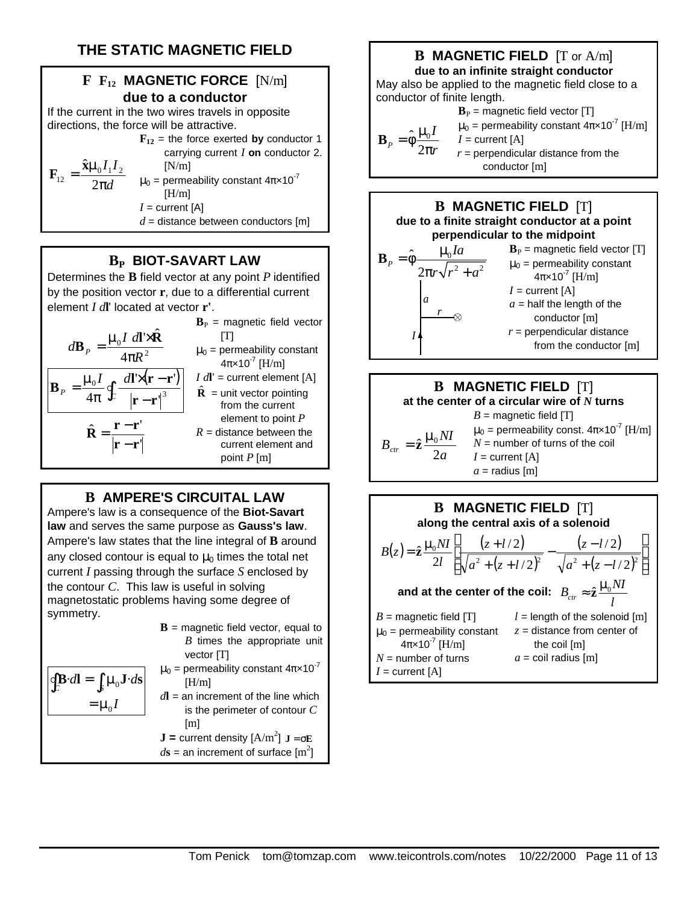# **THE STATIC MAGNETIC FIELD**

# **F F12 MAGNETIC FORCE** [N/m] **due to a conductor**

If the current in the two wires travels in opposite directions, the force will be attractive.

> $\mathbf{F}_{12}$  = the force exerted **by** conductor 1 carrying current *I* **on** conductor 2.  $[N/m]$

*d*  $I_1$ *I* π  $=\frac{\hat{\mathbf{x}}\boldsymbol{\mu}}{2}$ 2  $\mathbf{\hat{x}}\boldsymbol{\mu}_{0}\boldsymbol{I}_{1}\boldsymbol{I}_{2}$ 12  ${\bf F}_{12} = \frac{\hat{\bf X}}{2}$ 

 $\mu_0$  = permeability constant  $4\pi \times 10^{-7}$  $[H/m]$  $I =$  current  $[A]$  $d$  = distance between conductors [m]

#### **BP BIOT-SAVART LAW**

Determines the **B** field vector at any point *P* identified by the position vector **r**, due to a differential current element *I d***l**' located at vector **r'**.



## **B AMPERE'S CIRCUITAL LAW**

Ampere's law is a consequence of the **Biot-Savart law** and serves the same purpose as **Gauss's law**. Ampere's law states that the line integral of **B** around any closed contour is equal to  $\mu_0$  times the total net current *I* passing through the surface *S* enclosed by the contour *C*. This law is useful in solving magnetostatic problems having some degree of symmetry.

 $[H/m]$ 

| $\mathbf{B}$ = magnetic field vector, equal to        |
|-------------------------------------------------------|
| $B$ times the appropriate unit                        |
| vector $[T]$                                          |
| $\mu_0$ = permeability constant $4\pi \times 10^{-7}$ |

$$
\oint_C \mathbf{B} \cdot d\mathbf{l} = \int_S \mu_0 \mathbf{J} \cdot d\mathbf{s} \qquad \mu_0 = \mu_0 I
$$
\n
$$
= \mu_0 I
$$

**an increment of the line which** is the perimeter of contour *C* [m]

$$
J = current density [A/m2] J =  $\sigma$ **E**  
 $ds$  = an increment of surface [m<sup>2</sup>]
$$

# **B MAGNETIC FIELD** [T or A/m]

**due to an infinite straight conductor** May also be applied to the magnetic field close to a conductor of finite length.

$$
\mathbf{B}_{P} = \text{magnetic field vector [T]}
$$
\n
$$
\mathbf{B}_{P} = \hat{\phi} \frac{\mu_{0} I}{2 \pi r} \qquad \begin{array}{l} \mu_{0} = \text{permeability constant } 4 \pi \times 10^{-7} \text{ [H/m]}\\ I = \text{current [A]}\\ r = \text{perpendicular distance from the conductor [m]} \end{array}
$$





along the central axis of a solenoid  
\n
$$
B(z) = \hat{\mathbf{z}} \frac{\mu_0 NI}{2l} \left[ \frac{(z + l/2)}{\sqrt{a^2 + (z + l/2)^2}} - \frac{(z - l/2)}{\sqrt{a^2 + (z - l/2)^2}} \right]
$$
\nand at the center of the coil:  $B_{cr} \approx \hat{\mathbf{z}} \frac{\mu_0 NI}{l}$   
\n $B = \text{magnetic field [T]}$   $l = \text{length of the solenoid [m]}$   
\n $\mu_0 = \text{permeability constant}$   $z = \text{distance from center of}$   
\n $4\pi \times 10^{-7} \text{ [H/m]}$  the coil [m]  
\n $N = \text{number of turns}$   $a = \text{coil radius [m]}$   
\n $I = \text{current [A]}$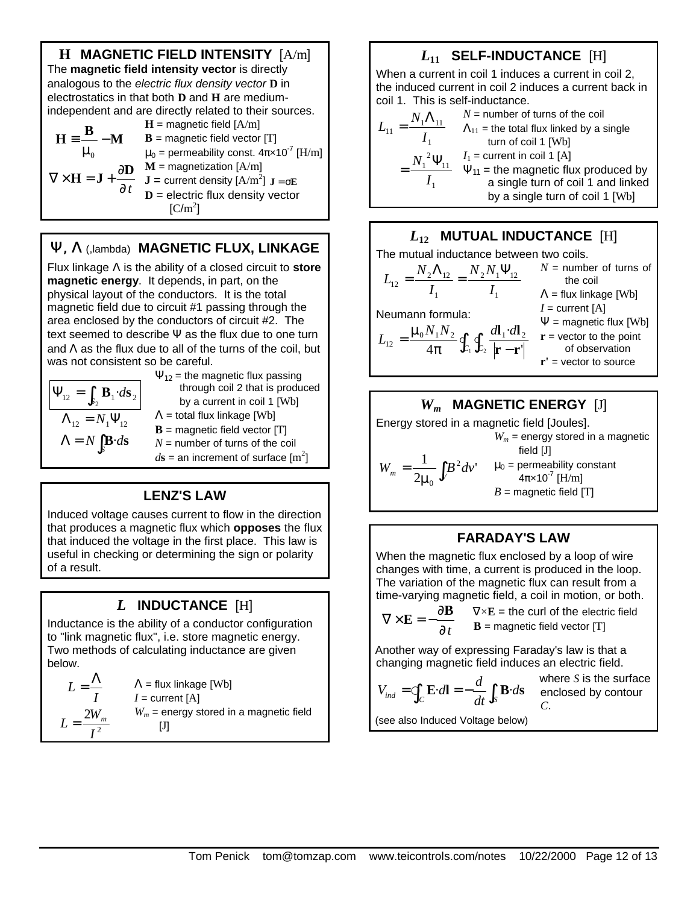

# **Y, L** (,lambda) **MAGNETIC FLUX, LINKAGE**

Flux linkage Λ is the ability of a closed circuit to **store magnetic energy**. It depends, in part, on the physical layout of the conductors. It is the total magnetic field due to circuit #1 passing through the area enclosed by the conductors of circuit #2. The text seemed to describe  $\Psi$  as the flux due to one turn and  $\Lambda$  as the flux due to all of the turns of the coil, but was not consistent so be careful.

$$
\boxed{\mathbf{P}_{12} = \int_{S_2} \mathbf{B}_1 \cdot d\mathbf{S}_2}
$$
\n
$$
\Lambda_{12} = N_1 \mathbf{P}_{12}
$$
\n
$$
\Lambda = N \int_S \mathbf{B} \cdot d\mathbf{S}
$$

 $\Psi_{12}$  = the magnetic flux passing through coil 2 that is produced by a current in coil 1 [Wb]  $\Lambda$  = total flux linkage [Wb]

- **= magnetic field vector**  $[T]$
- *N* = number of turns of the coil
- $d\mathbf{s}$  = an increment of surface  $[\text{m}^2]$

## **LENZ'S LAW**

Induced voltage causes current to flow in the direction that produces a magnetic flux which **opposes** the flux that induced the voltage in the first place. This law is useful in checking or determining the sign or polarity of a result.

# *L* **INDUCTANCE** [H]

Inductance is the ability of a conductor configuration to "link magnetic flux", i.e. store magnetic energy. Two methods of calculating inductance are given below.

$$
L = \frac{\Lambda}{I}
$$
  
\n
$$
\Lambda = \text{flux linkage [Wb]}
$$
  
\n
$$
I = \text{current [A]}
$$
  
\n
$$
L = \frac{2W_m}{I^2}
$$
  
\n
$$
W_m = \text{energy stored in a magnetic field}
$$

# *L***11 SELF-INDUCTANCE** [H]

When a current in coil 1 induces a current in coil 2, the induced current in coil 2 induces a current back in coil 1. This is self-inductance.

$$
L_{11} = \frac{N_1 \Lambda_{11}}{I_1}
$$
  
\n
$$
N = \text{number of turns of the coil}
$$
  
\n
$$
\Lambda_{11} = \text{the total flux linked by a single}
$$
  
\n
$$
= \frac{N_1^2 \Psi_{11}}{I_1}
$$
  
\n
$$
= \frac{N_1^2 \Psi_{11}}{I_1}
$$
  
\n
$$
= \frac{1}{I_1}
$$
  
\n
$$
= \frac{1}{I_1}
$$
  
\n
$$
= \frac{1}{I_1}
$$
  
\n
$$
= \frac{1}{I_1}
$$
  
\n
$$
= \frac{1}{I_1}
$$
  
\n
$$
= \frac{1}{I_1}
$$
  
\n
$$
= \frac{1}{I_1}
$$
  
\n
$$
= \frac{1}{I_1}
$$
  
\n
$$
= \frac{1}{I_1}
$$
  
\n
$$
= \frac{1}{I_1}
$$
  
\n
$$
= \frac{1}{I_1}
$$
  
\n
$$
= \frac{1}{I_1}
$$
  
\n
$$
= \frac{1}{I_1}
$$
  
\n
$$
= \frac{1}{I_1}
$$
  
\n
$$
= \frac{1}{I_1}
$$
  
\n
$$
= \frac{1}{I_1}
$$
  
\n
$$
= \frac{1}{I_1}
$$
  
\n
$$
= \frac{1}{I_1}
$$
  
\n
$$
= \frac{1}{I_1}
$$
  
\n
$$
= \frac{1}{I_1}
$$
  
\n
$$
= \frac{1}{I_1}
$$
  
\n
$$
= \frac{1}{I_1}
$$
  
\n
$$
= \frac{1}{I_1}
$$
  
\n
$$
= \frac{1}{I_1}
$$
  
\n
$$
= \frac{1}{I_1}
$$
  
\n
$$
= \frac{1}{I_1}
$$
  
\n
$$
= \frac{1}{I_1}
$$
  
\n
$$
= \frac{1}{I_1}
$$
  
\n
$$
= \frac{1}{I_1}
$$
  
\n
$$
= \frac
$$

# *L***12 MUTUAL INDUCTANCE** [H]

The mutual inductance between two coils. 1  $2^{11}$  1  $12$ 1  $I_{12} = \frac{IV_2I_{12}}{I_1} = \frac{IV_2I_{12}}{I_1}$  $N, N$ *I*  $L_{12} = \frac{N}{2}$  $=\frac{N_{2}\Lambda_{12}}{N_{1}}=\frac{N_{2}N_{1}\Psi_{1}}{N_{1}}$ Neumann formula:  $rac{1}{\pi} \oint_{C_1} \oint_{C_2} \frac{u_1}{|r - r|}$  $=\frac{\mu_0 N_1 N_2}{4\pi} \oint_{C_1} \oint_{C_2} \frac{d\mathbf{l}_1 \cdot d\mathbf{l}_2}{|\mathbf{r} - \mathbf{r}'|}$ · 4  $\psi_{12} = \frac{\mu_0 \nu_1 \nu_1 \nu_2}{4\pi} \oint_{C_1} \oint_{C_2} \frac{u_1 \nu_1}{|\mathbf{r} - \mathbf{r}'|}$  $L_{12} = \frac{\mu_0 N_1 N_2}{4} \oint_C \oint_C \frac{dI_1 \cdot dI_2}{dt_1}$ **r r**  $\frac{\mathbf{l}_1 \cdot d\mathbf{l}_2}{\mathbf{r}}$  = vector to the point  $N =$  number of turns of the coil  $\Lambda$  = flux linkage [Wb]  $I =$  current  $[A]$  $\Psi$  = magnetic flux [Wb] of observation **r'** = vector to source

$$
W_m
$$
 **MAGNETIC ENERGY** [J]  
Energy stored in a magnetic field [Joules].  

$$
W_m = \text{energy stored in a magnetic field [J]}
$$

$$
W_m = \frac{1}{2\mu_0} \int_V B^2 dv' \qquad \mu_0 = \text{permeability constant}
$$

$$
4\pi \times 10^7 \text{ [H/m]}
$$

$$
B = \text{magnetic field [T]}
$$

#### **FARADAY'S LAW**

When the magnetic flux enclosed by a loop of wire changes with time, a current is produced in the loop. The variation of the magnetic flux can result from a time-varying magnetic field, a coil in motion, or both.

$$
\nabla \times \mathbf{E} = -\frac{\partial \mathbf{B}}{\partial t} \qquad \nabla \times \mathbf{E} = \text{the curl of the electric field}
$$
  
**B** = magnetic field vector [T]

 $c$  field vector  $[T]$ 

Another way of expressing Faraday's law is that a changing magnetic field induces an electric field.

$$
V_{ind} = \oint_C \mathbf{E} \cdot d\mathbf{l} = -\frac{d}{dt} \int_S \mathbf{B} \cdot d\mathbf{s}
$$

where *S* is the surface enclosed by contour *C*.

(see also Induced Voltage below)